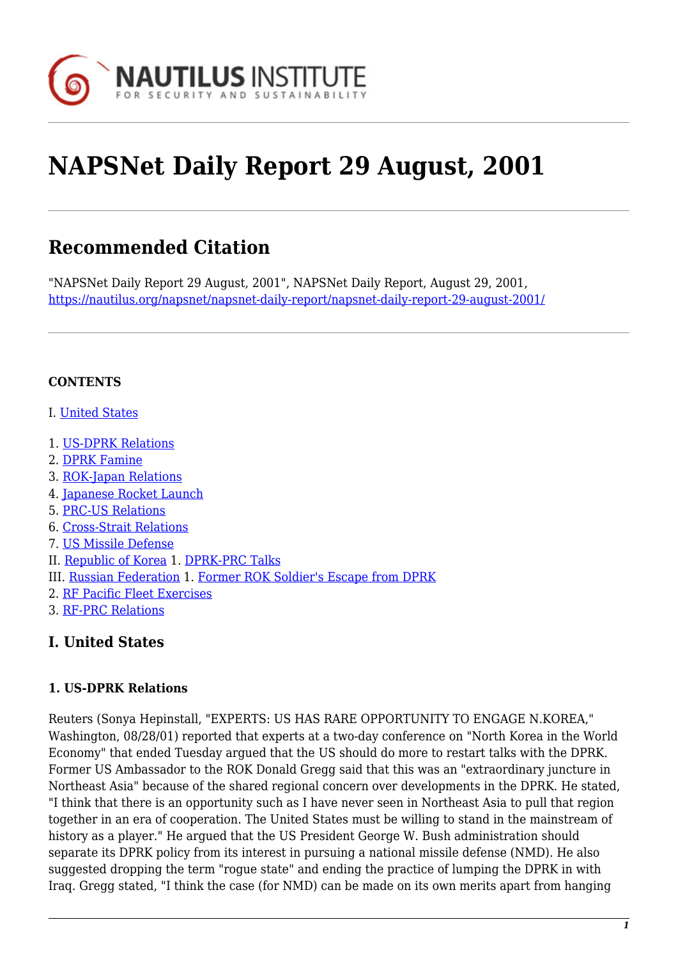

# **NAPSNet Daily Report 29 August, 2001**

# **Recommended Citation**

"NAPSNet Daily Report 29 August, 2001", NAPSNet Daily Report, August 29, 2001, <https://nautilus.org/napsnet/napsnet-daily-report/napsnet-daily-report-29-august-2001/>

#### **CONTENTS**

- I. [United States](#page-0-0)
- 1. [US-DPRK Relations](#page-0-1)
- 2. [DPRK Famine](#page-1-0)
- 3. [ROK-Japan Relations](#page-1-1)
- 4. [Japanese Rocket Launch](#page-1-2)
- 5. [PRC-US Relations](#page-1-3)
- 6. [Cross-Strait Relations](#page-2-0)
- 7. [US Missile Defense](#page-2-1)
- II. [Republic of Korea](#page-2-2) 1. [DPRK-PRC Talks](#page-2-3)
- III. [Russian Federation](#page-3-0) 1. [Former ROK Soldier's Escape from DPRK](#page-3-1)
- 2. [RF Pacific Fleet Exercises](#page-3-2)
- 3. [RF-PRC Relations](#page-3-3)

#### <span id="page-0-0"></span>**I. United States**

#### <span id="page-0-1"></span>**1. US-DPRK Relations**

Reuters (Sonya Hepinstall, "EXPERTS: US HAS RARE OPPORTUNITY TO ENGAGE N.KOREA," Washington, 08/28/01) reported that experts at a two-day conference on "North Korea in the World Economy" that ended Tuesday argued that the US should do more to restart talks with the DPRK. Former US Ambassador to the ROK Donald Gregg said that this was an "extraordinary juncture in Northeast Asia" because of the shared regional concern over developments in the DPRK. He stated, "I think that there is an opportunity such as I have never seen in Northeast Asia to pull that region together in an era of cooperation. The United States must be willing to stand in the mainstream of history as a player." He argued that the US President George W. Bush administration should separate its DPRK policy from its interest in pursuing a national missile defense (NMD). He also suggested dropping the term "rogue state" and ending the practice of lumping the DPRK in with Iraq. Gregg stated, "I think the case (for NMD) can be made on its own merits apart from hanging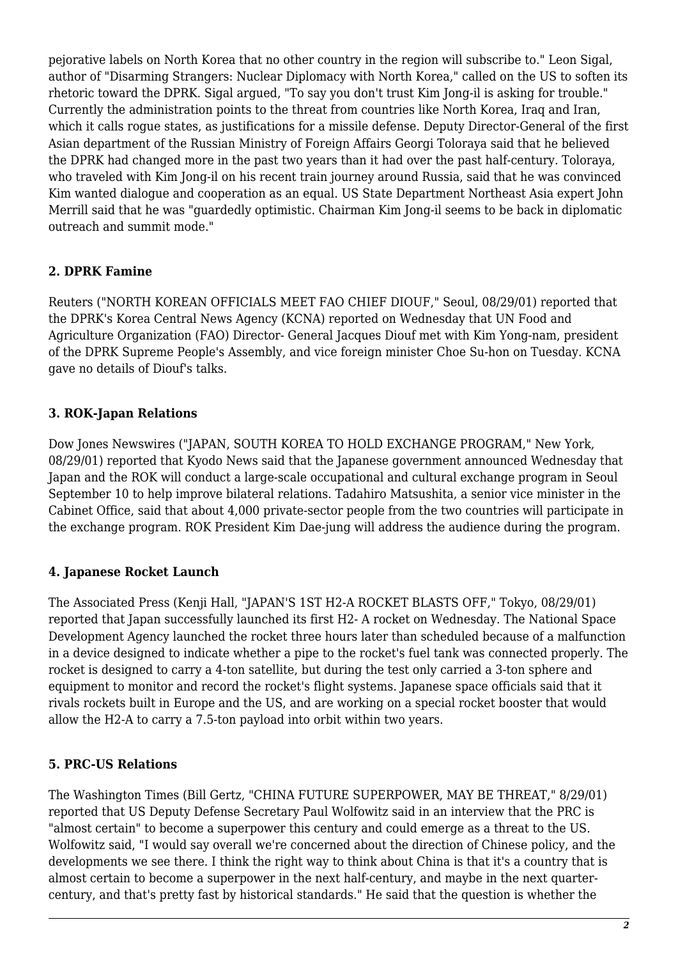pejorative labels on North Korea that no other country in the region will subscribe to." Leon Sigal, author of "Disarming Strangers: Nuclear Diplomacy with North Korea," called on the US to soften its rhetoric toward the DPRK. Sigal argued, "To say you don't trust Kim Jong-il is asking for trouble." Currently the administration points to the threat from countries like North Korea, Iraq and Iran, which it calls rogue states, as justifications for a missile defense. Deputy Director-General of the first Asian department of the Russian Ministry of Foreign Affairs Georgi Toloraya said that he believed the DPRK had changed more in the past two years than it had over the past half-century. Toloraya, who traveled with Kim Jong-il on his recent train journey around Russia, said that he was convinced Kim wanted dialogue and cooperation as an equal. US State Department Northeast Asia expert John Merrill said that he was "guardedly optimistic. Chairman Kim Jong-il seems to be back in diplomatic outreach and summit mode."

#### <span id="page-1-0"></span>**2. DPRK Famine**

Reuters ("NORTH KOREAN OFFICIALS MEET FAO CHIEF DIOUF," Seoul, 08/29/01) reported that the DPRK's Korea Central News Agency (KCNA) reported on Wednesday that UN Food and Agriculture Organization (FAO) Director- General Jacques Diouf met with Kim Yong-nam, president of the DPRK Supreme People's Assembly, and vice foreign minister Choe Su-hon on Tuesday. KCNA gave no details of Diouf's talks.

## <span id="page-1-1"></span>**3. ROK-Japan Relations**

Dow Jones Newswires ("JAPAN, SOUTH KOREA TO HOLD EXCHANGE PROGRAM," New York, 08/29/01) reported that Kyodo News said that the Japanese government announced Wednesday that Japan and the ROK will conduct a large-scale occupational and cultural exchange program in Seoul September 10 to help improve bilateral relations. Tadahiro Matsushita, a senior vice minister in the Cabinet Office, said that about 4,000 private-sector people from the two countries will participate in the exchange program. ROK President Kim Dae-jung will address the audience during the program.

#### <span id="page-1-2"></span>**4. Japanese Rocket Launch**

The Associated Press (Kenji Hall, "JAPAN'S 1ST H2-A ROCKET BLASTS OFF," Tokyo, 08/29/01) reported that Japan successfully launched its first H2- A rocket on Wednesday. The National Space Development Agency launched the rocket three hours later than scheduled because of a malfunction in a device designed to indicate whether a pipe to the rocket's fuel tank was connected properly. The rocket is designed to carry a 4-ton satellite, but during the test only carried a 3-ton sphere and equipment to monitor and record the rocket's flight systems. Japanese space officials said that it rivals rockets built in Europe and the US, and are working on a special rocket booster that would allow the H2-A to carry a 7.5-ton payload into orbit within two years.

#### <span id="page-1-3"></span>**5. PRC-US Relations**

The Washington Times (Bill Gertz, "CHINA FUTURE SUPERPOWER, MAY BE THREAT," 8/29/01) reported that US Deputy Defense Secretary Paul Wolfowitz said in an interview that the PRC is "almost certain" to become a superpower this century and could emerge as a threat to the US. Wolfowitz said, "I would say overall we're concerned about the direction of Chinese policy, and the developments we see there. I think the right way to think about China is that it's a country that is almost certain to become a superpower in the next half-century, and maybe in the next quartercentury, and that's pretty fast by historical standards." He said that the question is whether the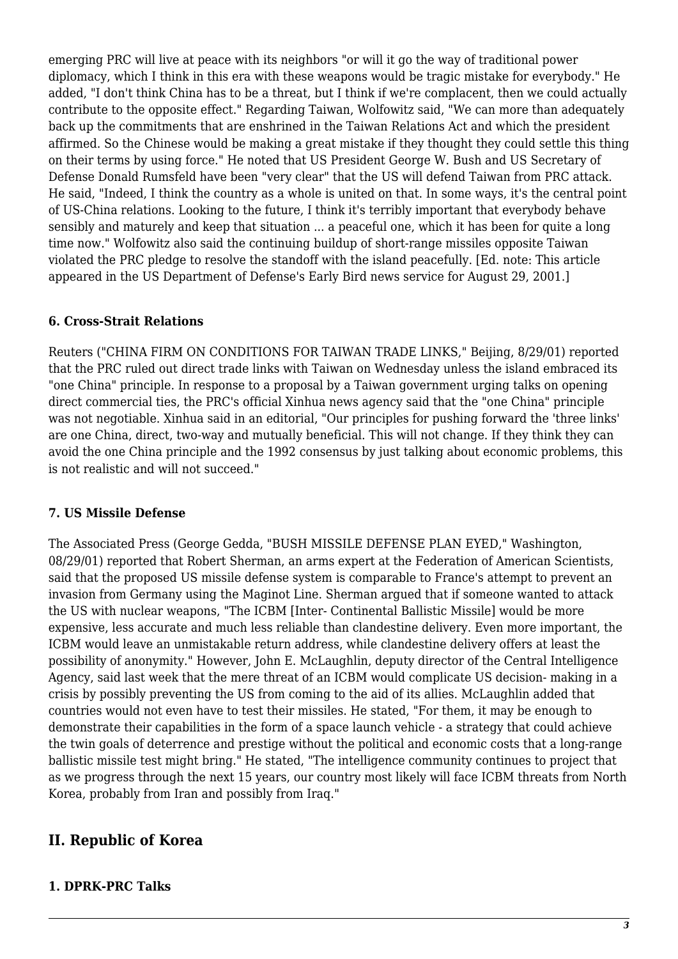emerging PRC will live at peace with its neighbors "or will it go the way of traditional power diplomacy, which I think in this era with these weapons would be tragic mistake for everybody." He added, "I don't think China has to be a threat, but I think if we're complacent, then we could actually contribute to the opposite effect." Regarding Taiwan, Wolfowitz said, "We can more than adequately back up the commitments that are enshrined in the Taiwan Relations Act and which the president affirmed. So the Chinese would be making a great mistake if they thought they could settle this thing on their terms by using force." He noted that US President George W. Bush and US Secretary of Defense Donald Rumsfeld have been "very clear" that the US will defend Taiwan from PRC attack. He said, "Indeed, I think the country as a whole is united on that. In some ways, it's the central point of US-China relations. Looking to the future, I think it's terribly important that everybody behave sensibly and maturely and keep that situation ... a peaceful one, which it has been for quite a long time now." Wolfowitz also said the continuing buildup of short-range missiles opposite Taiwan violated the PRC pledge to resolve the standoff with the island peacefully. [Ed. note: This article appeared in the US Department of Defense's Early Bird news service for August 29, 2001.]

#### <span id="page-2-0"></span>**6. Cross-Strait Relations**

Reuters ("CHINA FIRM ON CONDITIONS FOR TAIWAN TRADE LINKS," Beijing, 8/29/01) reported that the PRC ruled out direct trade links with Taiwan on Wednesday unless the island embraced its "one China" principle. In response to a proposal by a Taiwan government urging talks on opening direct commercial ties, the PRC's official Xinhua news agency said that the "one China" principle was not negotiable. Xinhua said in an editorial, "Our principles for pushing forward the 'three links' are one China, direct, two-way and mutually beneficial. This will not change. If they think they can avoid the one China principle and the 1992 consensus by just talking about economic problems, this is not realistic and will not succeed."

#### <span id="page-2-1"></span>**7. US Missile Defense**

The Associated Press (George Gedda, "BUSH MISSILE DEFENSE PLAN EYED," Washington, 08/29/01) reported that Robert Sherman, an arms expert at the Federation of American Scientists, said that the proposed US missile defense system is comparable to France's attempt to prevent an invasion from Germany using the Maginot Line. Sherman argued that if someone wanted to attack the US with nuclear weapons, "The ICBM [Inter- Continental Ballistic Missile] would be more expensive, less accurate and much less reliable than clandestine delivery. Even more important, the ICBM would leave an unmistakable return address, while clandestine delivery offers at least the possibility of anonymity." However, John E. McLaughlin, deputy director of the Central Intelligence Agency, said last week that the mere threat of an ICBM would complicate US decision- making in a crisis by possibly preventing the US from coming to the aid of its allies. McLaughlin added that countries would not even have to test their missiles. He stated, "For them, it may be enough to demonstrate their capabilities in the form of a space launch vehicle - a strategy that could achieve the twin goals of deterrence and prestige without the political and economic costs that a long-range ballistic missile test might bring." He stated, "The intelligence community continues to project that as we progress through the next 15 years, our country most likely will face ICBM threats from North Korea, probably from Iran and possibly from Iraq."

# <span id="page-2-2"></span>**II. Republic of Korea**

#### <span id="page-2-3"></span>**1. DPRK-PRC Talks**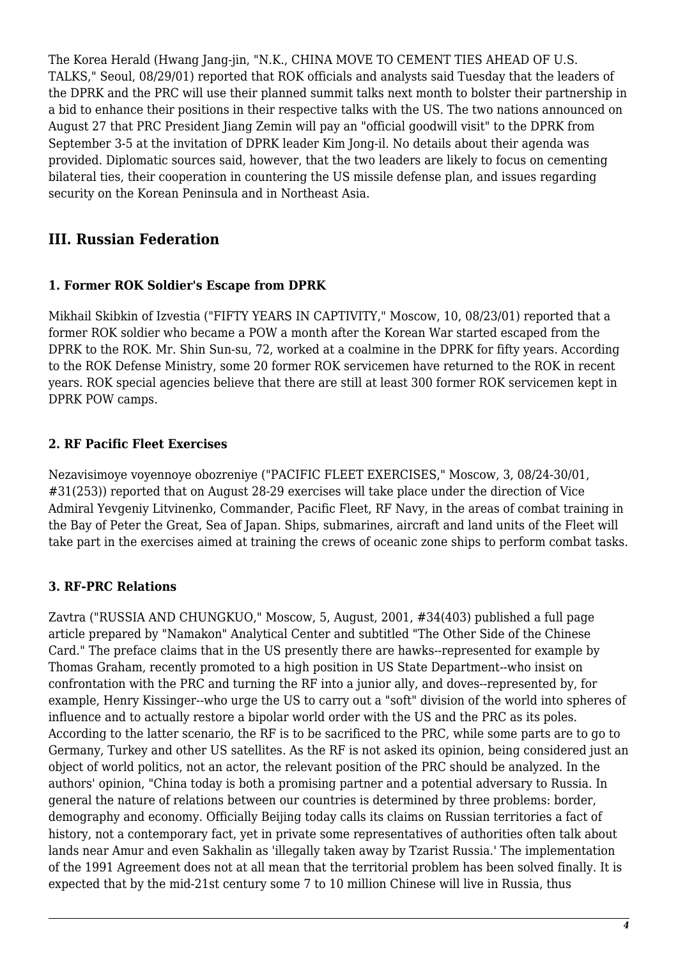The Korea Herald (Hwang Jang-jin, "N.K., CHINA MOVE TO CEMENT TIES AHEAD OF U.S. TALKS," Seoul, 08/29/01) reported that ROK officials and analysts said Tuesday that the leaders of the DPRK and the PRC will use their planned summit talks next month to bolster their partnership in a bid to enhance their positions in their respective talks with the US. The two nations announced on August 27 that PRC President Jiang Zemin will pay an "official goodwill visit" to the DPRK from September 3-5 at the invitation of DPRK leader Kim Jong-il. No details about their agenda was provided. Diplomatic sources said, however, that the two leaders are likely to focus on cementing bilateral ties, their cooperation in countering the US missile defense plan, and issues regarding security on the Korean Peninsula and in Northeast Asia.

# <span id="page-3-0"></span>**III. Russian Federation**

#### <span id="page-3-1"></span>**1. Former ROK Soldier's Escape from DPRK**

Mikhail Skibkin of Izvestia ("FIFTY YEARS IN CAPTIVITY," Moscow, 10, 08/23/01) reported that a former ROK soldier who became a POW a month after the Korean War started escaped from the DPRK to the ROK. Mr. Shin Sun-su, 72, worked at a coalmine in the DPRK for fifty years. According to the ROK Defense Ministry, some 20 former ROK servicemen have returned to the ROK in recent years. ROK special agencies believe that there are still at least 300 former ROK servicemen kept in DPRK POW camps.

## <span id="page-3-2"></span>**2. RF Pacific Fleet Exercises**

Nezavisimoye voyennoye obozreniye ("PACIFIC FLEET EXERCISES," Moscow, 3, 08/24-30/01, #31(253)) reported that on August 28-29 exercises will take place under the direction of Vice Admiral Yevgeniy Litvinenko, Commander, Pacific Fleet, RF Navy, in the areas of combat training in the Bay of Peter the Great, Sea of Japan. Ships, submarines, aircraft and land units of the Fleet will take part in the exercises aimed at training the crews of oceanic zone ships to perform combat tasks.

# <span id="page-3-3"></span>**3. RF-PRC Relations**

Zavtra ("RUSSIA AND CHUNGKUO," Moscow, 5, August, 2001, #34(403) published a full page article prepared by "Namakon" Analytical Center and subtitled "The Other Side of the Chinese Card." The preface claims that in the US presently there are hawks--represented for example by Thomas Graham, recently promoted to a high position in US State Department--who insist on confrontation with the PRC and turning the RF into a junior ally, and doves--represented by, for example, Henry Kissinger--who urge the US to carry out a "soft" division of the world into spheres of influence and to actually restore a bipolar world order with the US and the PRC as its poles. According to the latter scenario, the RF is to be sacrificed to the PRC, while some parts are to go to Germany, Turkey and other US satellites. As the RF is not asked its opinion, being considered just an object of world politics, not an actor, the relevant position of the PRC should be analyzed. In the authors' opinion, "China today is both a promising partner and a potential adversary to Russia. In general the nature of relations between our countries is determined by three problems: border, demography and economy. Officially Beijing today calls its claims on Russian territories a fact of history, not a contemporary fact, yet in private some representatives of authorities often talk about lands near Amur and even Sakhalin as 'illegally taken away by Tzarist Russia.' The implementation of the 1991 Agreement does not at all mean that the territorial problem has been solved finally. It is expected that by the mid-21st century some 7 to 10 million Chinese will live in Russia, thus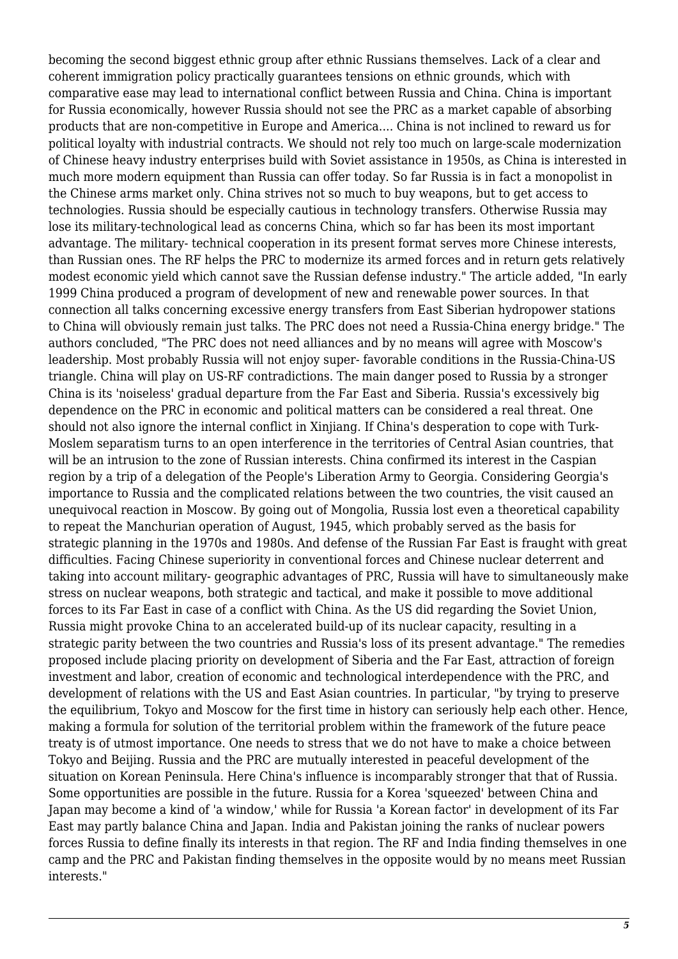becoming the second biggest ethnic group after ethnic Russians themselves. Lack of a clear and coherent immigration policy practically guarantees tensions on ethnic grounds, which with comparative ease may lead to international conflict between Russia and China. China is important for Russia economically, however Russia should not see the PRC as a market capable of absorbing products that are non-competitive in Europe and America.... China is not inclined to reward us for political loyalty with industrial contracts. We should not rely too much on large-scale modernization of Chinese heavy industry enterprises build with Soviet assistance in 1950s, as China is interested in much more modern equipment than Russia can offer today. So far Russia is in fact a monopolist in the Chinese arms market only. China strives not so much to buy weapons, but to get access to technologies. Russia should be especially cautious in technology transfers. Otherwise Russia may lose its military-technological lead as concerns China, which so far has been its most important advantage. The military- technical cooperation in its present format serves more Chinese interests, than Russian ones. The RF helps the PRC to modernize its armed forces and in return gets relatively modest economic yield which cannot save the Russian defense industry." The article added, "In early 1999 China produced a program of development of new and renewable power sources. In that connection all talks concerning excessive energy transfers from East Siberian hydropower stations to China will obviously remain just talks. The PRC does not need a Russia-China energy bridge." The authors concluded, "The PRC does not need alliances and by no means will agree with Moscow's leadership. Most probably Russia will not enjoy super- favorable conditions in the Russia-China-US triangle. China will play on US-RF contradictions. The main danger posed to Russia by a stronger China is its 'noiseless' gradual departure from the Far East and Siberia. Russia's excessively big dependence on the PRC in economic and political matters can be considered a real threat. One should not also ignore the internal conflict in Xinjiang. If China's desperation to cope with Turk-Moslem separatism turns to an open interference in the territories of Central Asian countries, that will be an intrusion to the zone of Russian interests. China confirmed its interest in the Caspian region by a trip of a delegation of the People's Liberation Army to Georgia. Considering Georgia's importance to Russia and the complicated relations between the two countries, the visit caused an unequivocal reaction in Moscow. By going out of Mongolia, Russia lost even a theoretical capability to repeat the Manchurian operation of August, 1945, which probably served as the basis for strategic planning in the 1970s and 1980s. And defense of the Russian Far East is fraught with great difficulties. Facing Chinese superiority in conventional forces and Chinese nuclear deterrent and taking into account military- geographic advantages of PRC, Russia will have to simultaneously make stress on nuclear weapons, both strategic and tactical, and make it possible to move additional forces to its Far East in case of a conflict with China. As the US did regarding the Soviet Union, Russia might provoke China to an accelerated build-up of its nuclear capacity, resulting in a strategic parity between the two countries and Russia's loss of its present advantage." The remedies proposed include placing priority on development of Siberia and the Far East, attraction of foreign investment and labor, creation of economic and technological interdependence with the PRC, and development of relations with the US and East Asian countries. In particular, "by trying to preserve the equilibrium, Tokyo and Moscow for the first time in history can seriously help each other. Hence, making a formula for solution of the territorial problem within the framework of the future peace treaty is of utmost importance. One needs to stress that we do not have to make a choice between Tokyo and Beijing. Russia and the PRC are mutually interested in peaceful development of the situation on Korean Peninsula. Here China's influence is incomparably stronger that that of Russia. Some opportunities are possible in the future. Russia for a Korea 'squeezed' between China and Japan may become a kind of 'a window,' while for Russia 'a Korean factor' in development of its Far East may partly balance China and Japan. India and Pakistan joining the ranks of nuclear powers forces Russia to define finally its interests in that region. The RF and India finding themselves in one camp and the PRC and Pakistan finding themselves in the opposite would by no means meet Russian interests."